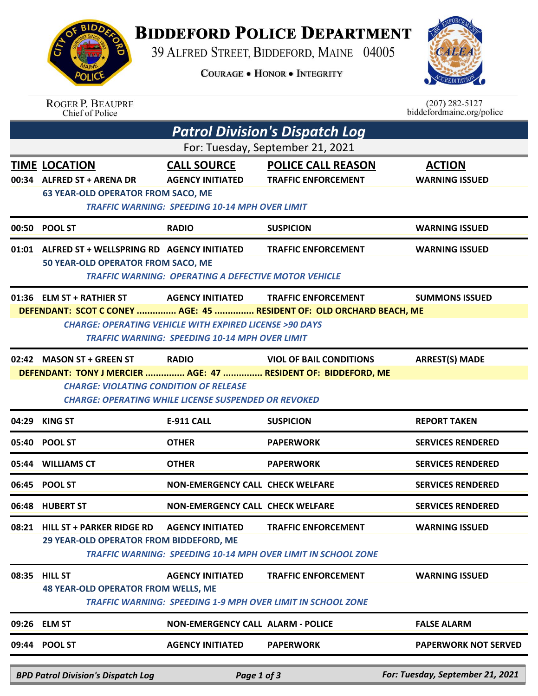## **BIDDEFORD POLICE DEPARTMENT**

39 ALFRED STREET, BIDDEFORD, MAINE 04005

**COURAGE . HONOR . INTEGRITY** 



|                                                                                                                                                                                | <b>ROGER P. BEAUPRE</b><br>Chief of Police                                                       |                                                                                                                            |                                                                                                    | $(207)$ 282-5127<br>biddefordmaine.org/police |  |  |  |  |  |
|--------------------------------------------------------------------------------------------------------------------------------------------------------------------------------|--------------------------------------------------------------------------------------------------|----------------------------------------------------------------------------------------------------------------------------|----------------------------------------------------------------------------------------------------|-----------------------------------------------|--|--|--|--|--|
| <b>Patrol Division's Dispatch Log</b>                                                                                                                                          |                                                                                                  |                                                                                                                            |                                                                                                    |                                               |  |  |  |  |  |
| For: Tuesday, September 21, 2021                                                                                                                                               |                                                                                                  |                                                                                                                            |                                                                                                    |                                               |  |  |  |  |  |
| 00:34                                                                                                                                                                          | <b>TIME LOCATION</b><br><b>ALFRED ST + ARENA DR</b><br><b>63 YEAR-OLD OPERATOR FROM SACO, ME</b> | <b>CALL SOURCE</b><br><b>AGENCY INITIATED</b><br><b>TRAFFIC WARNING: SPEEDING 10-14 MPH OVER LIMIT</b>                     | <b>POLICE CALL REASON</b><br><b>TRAFFIC ENFORCEMENT</b>                                            | <b>ACTION</b><br><b>WARNING ISSUED</b>        |  |  |  |  |  |
| 00:50                                                                                                                                                                          | <b>POOL ST</b>                                                                                   | <b>RADIO</b>                                                                                                               | <b>SUSPICION</b>                                                                                   | <b>WARNING ISSUED</b>                         |  |  |  |  |  |
|                                                                                                                                                                                | 01:01 ALFRED ST + WELLSPRING RD AGENCY INITIATED<br>50 YEAR-OLD OPERATOR FROM SACO, ME           | <b>TRAFFIC WARNING: OPERATING A DEFECTIVE MOTOR VEHICLE</b>                                                                | <b>TRAFFIC ENFORCEMENT</b>                                                                         | <b>WARNING ISSUED</b>                         |  |  |  |  |  |
|                                                                                                                                                                                | 01:36 ELM ST + RATHIER ST                                                                        | <b>AGENCY INITIATED</b>                                                                                                    | <b>TRAFFIC ENFORCEMENT</b>                                                                         | <b>SUMMONS ISSUED</b>                         |  |  |  |  |  |
|                                                                                                                                                                                | DEFENDANT: SCOT C CONEY  AGE: 45  RESIDENT OF: OLD ORCHARD BEACH, ME                             | <b>CHARGE: OPERATING VEHICLE WITH EXPIRED LICENSE &gt;90 DAYS</b><br><b>TRAFFIC WARNING: SPEEDING 10-14 MPH OVER LIMIT</b> |                                                                                                    |                                               |  |  |  |  |  |
|                                                                                                                                                                                | 02:42 MASON ST + GREEN ST                                                                        | <b>RADIO</b>                                                                                                               | <b>VIOL OF BAIL CONDITIONS</b>                                                                     | <b>ARREST(S) MADE</b>                         |  |  |  |  |  |
| DEFENDANT: TONY J MERCIER  AGE: 47  RESIDENT OF: BIDDEFORD, ME<br><b>CHARGE: VIOLATING CONDITION OF RELEASE</b><br><b>CHARGE: OPERATING WHILE LICENSE SUSPENDED OR REVOKED</b> |                                                                                                  |                                                                                                                            |                                                                                                    |                                               |  |  |  |  |  |
| 04:29                                                                                                                                                                          | <b>KING ST</b>                                                                                   | <b>E-911 CALL</b>                                                                                                          | <b>SUSPICION</b>                                                                                   | <b>REPORT TAKEN</b>                           |  |  |  |  |  |
|                                                                                                                                                                                | 05:40 POOL ST                                                                                    | <b>OTHER</b>                                                                                                               | <b>PAPERWORK</b>                                                                                   | <b>SERVICES RENDERED</b>                      |  |  |  |  |  |
|                                                                                                                                                                                | 05:44 WILLIAMS CT                                                                                | <b>OTHER</b>                                                                                                               | <b>PAPERWORK</b>                                                                                   | <b>SERVICES RENDERED</b>                      |  |  |  |  |  |
|                                                                                                                                                                                | 06:45 POOL ST                                                                                    | <b>NON-EMERGENCY CALL CHECK WELFARE</b>                                                                                    |                                                                                                    | <b>SERVICES RENDERED</b>                      |  |  |  |  |  |
|                                                                                                                                                                                | 06:48 HUBERT ST                                                                                  | <b>NON-EMERGENCY CALL CHECK WELFARE</b>                                                                                    |                                                                                                    | <b>SERVICES RENDERED</b>                      |  |  |  |  |  |
|                                                                                                                                                                                | 08:21 HILL ST + PARKER RIDGE RD<br>29 YEAR-OLD OPERATOR FROM BIDDEFORD, ME                       | <b>AGENCY INITIATED</b>                                                                                                    | <b>TRAFFIC ENFORCEMENT</b><br><b>TRAFFIC WARNING: SPEEDING 10-14 MPH OVER LIMIT IN SCHOOL ZONE</b> | <b>WARNING ISSUED</b>                         |  |  |  |  |  |
| 08:35                                                                                                                                                                          | <b>HILL ST</b><br><b>48 YEAR-OLD OPERATOR FROM WELLS, ME</b>                                     | <b>AGENCY INITIATED</b>                                                                                                    | <b>TRAFFIC ENFORCEMENT</b><br><b>TRAFFIC WARNING: SPEEDING 1-9 MPH OVER LIMIT IN SCHOOL ZONE</b>   | <b>WARNING ISSUED</b>                         |  |  |  |  |  |
| 09:26                                                                                                                                                                          | <b>ELM ST</b>                                                                                    | <b>NON-EMERGENCY CALL ALARM - POLICE</b>                                                                                   |                                                                                                    | <b>FALSE ALARM</b>                            |  |  |  |  |  |
|                                                                                                                                                                                | 09:44 POOL ST                                                                                    | <b>AGENCY INITIATED</b>                                                                                                    | <b>PAPERWORK</b>                                                                                   | <b>PAPERWORK NOT SERVED</b>                   |  |  |  |  |  |
|                                                                                                                                                                                | <b>BPD Patrol Division's Dispatch Log</b>                                                        | Page 1 of 3                                                                                                                |                                                                                                    | For: Tuesday, September 21, 2021              |  |  |  |  |  |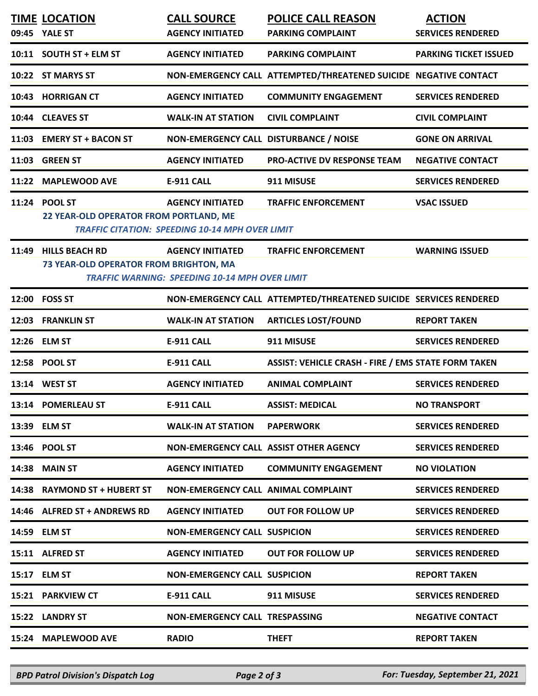|       | <b>TIME LOCATION</b><br>09:45 YALE ST                           | <b>CALL SOURCE</b><br><b>AGENCY INITIATED</b>                                     | <b>POLICE CALL REASON</b>                                         | <b>ACTION</b><br><b>SERVICES RENDERED</b> |
|-------|-----------------------------------------------------------------|-----------------------------------------------------------------------------------|-------------------------------------------------------------------|-------------------------------------------|
|       |                                                                 |                                                                                   | <b>PARKING COMPLAINT</b>                                          |                                           |
|       | 10:11 SOUTH ST + ELM ST                                         | <b>AGENCY INITIATED</b>                                                           | <b>PARKING COMPLAINT</b>                                          | <b>PARKING TICKET ISSUED</b>              |
|       | 10:22 ST MARYS ST                                               |                                                                                   | NON-EMERGENCY CALL ATTEMPTED/THREATENED SUICIDE NEGATIVE CONTACT  |                                           |
|       | 10:43 HORRIGAN CT                                               | <b>AGENCY INITIATED</b>                                                           | <b>COMMUNITY ENGAGEMENT</b>                                       | <b>SERVICES RENDERED</b>                  |
|       | 10:44 CLEAVES ST                                                | <b>WALK-IN AT STATION</b>                                                         | <b>CIVIL COMPLAINT</b>                                            | <b>CIVIL COMPLAINT</b>                    |
|       | 11:03 EMERY ST + BACON ST                                       | NON-EMERGENCY CALL DISTURBANCE / NOISE                                            |                                                                   | <b>GONE ON ARRIVAL</b>                    |
|       | 11:03 GREEN ST                                                  | <b>AGENCY INITIATED</b>                                                           | PRO-ACTIVE DV RESPONSE TEAM                                       | <b>NEGATIVE CONTACT</b>                   |
|       | 11:22 MAPLEWOOD AVE                                             | <b>E-911 CALL</b>                                                                 | 911 MISUSE                                                        | <b>SERVICES RENDERED</b>                  |
|       | 11:24 POOL ST<br>22 YEAR-OLD OPERATOR FROM PORTLAND, ME         | <b>AGENCY INITIATED</b><br><b>TRAFFIC CITATION: SPEEDING 10-14 MPH OVER LIMIT</b> | <b>TRAFFIC ENFORCEMENT</b>                                        | <b>VSAC ISSUED</b>                        |
| 11:49 | <b>HILLS BEACH RD</b><br>73 YEAR-OLD OPERATOR FROM BRIGHTON, MA | <b>AGENCY INITIATED</b><br><b>TRAFFIC WARNING: SPEEDING 10-14 MPH OVER LIMIT</b>  | <b>TRAFFIC ENFORCEMENT</b>                                        | <b>WARNING ISSUED</b>                     |
|       | 12:00 FOSS ST                                                   |                                                                                   | NON-EMERGENCY CALL ATTEMPTED/THREATENED SUICIDE SERVICES RENDERED |                                           |
|       | 12:03 FRANKLIN ST                                               | <b>WALK-IN AT STATION</b>                                                         | <b>ARTICLES LOST/FOUND</b>                                        | <b>REPORT TAKEN</b>                       |
|       | 12:26 ELM ST                                                    | E-911 CALL                                                                        | 911 MISUSE                                                        | <b>SERVICES RENDERED</b>                  |
|       | 12:58 POOL ST                                                   | E-911 CALL                                                                        | <b>ASSIST: VEHICLE CRASH - FIRE / EMS STATE FORM TAKEN</b>        |                                           |
|       | 13:14 WEST ST                                                   | <b>AGENCY INITIATED</b>                                                           | <b>ANIMAL COMPLAINT</b>                                           | <b>SERVICES RENDERED</b>                  |
|       | 13:14 POMERLEAU ST                                              | <b>E-911 CALL</b>                                                                 | <b>ASSIST: MEDICAL</b>                                            | <b>NO TRANSPORT</b>                       |
|       | 13:39 ELM ST                                                    | <b>WALK-IN AT STATION PAPERWORK</b>                                               |                                                                   | <b>SERVICES RENDERED</b>                  |
|       | 13:46 POOL ST                                                   | NON-EMERGENCY CALL ASSIST OTHER AGENCY                                            |                                                                   | <b>SERVICES RENDERED</b>                  |
|       | 14:38 MAIN ST                                                   | <b>AGENCY INITIATED</b>                                                           | <b>COMMUNITY ENGAGEMENT</b>                                       | <b>NO VIOLATION</b>                       |
|       | 14:38 RAYMOND ST + HUBERT ST                                    | NON-EMERGENCY CALL ANIMAL COMPLAINT                                               |                                                                   | <b>SERVICES RENDERED</b>                  |
|       | 14:46 ALFRED ST + ANDREWS RD                                    | <b>AGENCY INITIATED</b>                                                           | <b>OUT FOR FOLLOW UP</b>                                          | <b>SERVICES RENDERED</b>                  |
|       | 14:59 ELM ST                                                    | <b>NON-EMERGENCY CALL SUSPICION</b>                                               |                                                                   | <b>SERVICES RENDERED</b>                  |
|       | 15:11 ALFRED ST                                                 | <b>AGENCY INITIATED</b>                                                           | <b>OUT FOR FOLLOW UP</b>                                          | <b>SERVICES RENDERED</b>                  |
|       | 15:17 ELM ST                                                    | <b>NON-EMERGENCY CALL SUSPICION</b>                                               |                                                                   | <b>REPORT TAKEN</b>                       |
|       | 15:21 PARKVIEW CT                                               | <b>E-911 CALL</b>                                                                 | 911 MISUSE                                                        | <b>SERVICES RENDERED</b>                  |
|       | 15:22 LANDRY ST                                                 | <b>NON-EMERGENCY CALL TRESPASSING</b>                                             |                                                                   | <b>NEGATIVE CONTACT</b>                   |
|       | 15:24 MAPLEWOOD AVE                                             | <b>RADIO</b>                                                                      | <b>THEFT</b>                                                      | <b>REPORT TAKEN</b>                       |